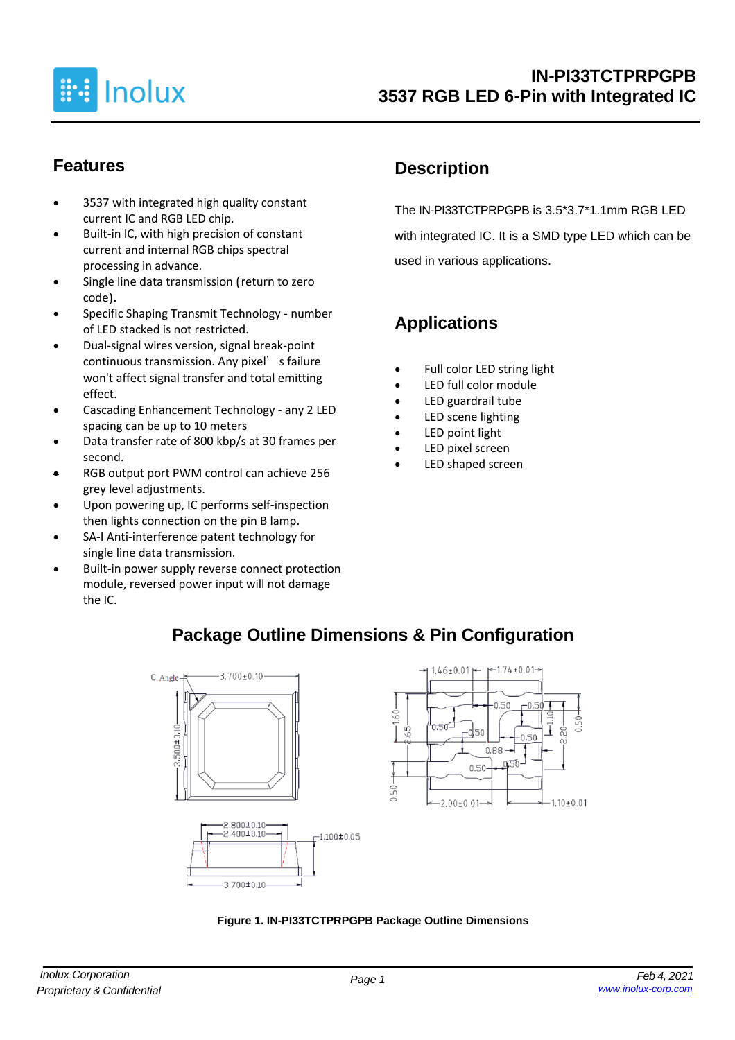

### **Features**

- 3537 with integrated high quality constant current IC and RGB LED chip.
- Built-in IC, with high precision of constant current and internal RGB chips spectral processing in advance.
- Single line data transmission (return to zero code).
- Specific Shaping Transmit Technology number of LED stacked is not restricted.
- Dual-signal wires version, signal break-point continuous transmission. Any pixel's failure won't affect signal transfer and total emitting effect.
- Cascading Enhancement Technology any 2 LED spacing can be up to 10 meters
- Data transfer rate of 800 kbp/s at 30 frames per second.
- RGB output port PWM control can achieve 256 grey level adjustments.
- Upon powering up, IC performs self-inspection then lights connection on the pin B lamp.
- SA-I Anti-interference patent technology for single line data transmission.
- Built-in power supply reverse connect protection module, reversed power input will not damage the IC.

## **Description**

The IN-PI33TCTPRPGPB is 3.5\*3.7\*1.1mm RGB LED with integrated IC. It is a SMD type LED which can be used in various applications.

# **Applications**

- Full color LED string light
- LED full color module
- LED guardrail tube
- LED scene lighting
- LED point light
- LED pixel screen
- LED shaped screen



**Package Outline Dimensions & Pin Configuration**

#### **Figure 1. IN-PI33TCTPRPGPB Package Outline Dimensions**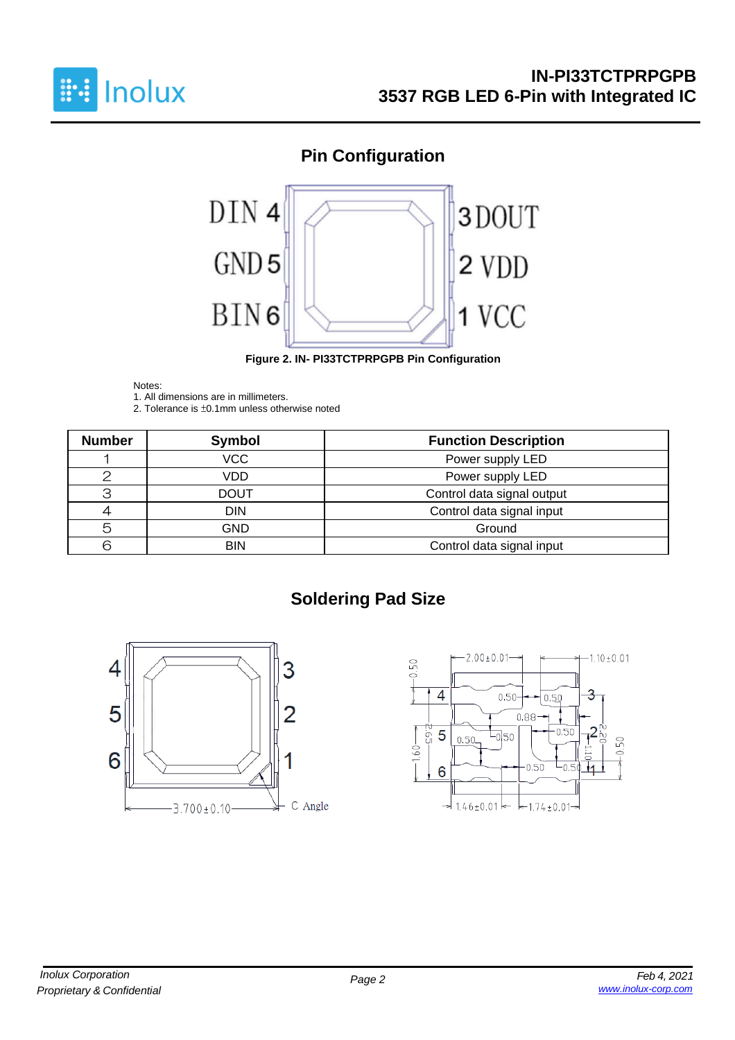

# **Pin Configuration**



**Figure 2. IN- PI33TCTPRPGPB Pin Configuration**

#### Notes:

1. All dimensions are in millimeters.

2. Tolerance is ±0.1mm unless otherwise noted

| <b>Number</b> | Symbol      | <b>Function Description</b> |
|---------------|-------------|-----------------------------|
|               | <b>VCC</b>  | Power supply LED            |
|               | VDD         | Power supply LED            |
| З             | <b>DOUT</b> | Control data signal output  |
|               | <b>DIN</b>  | Control data signal input   |
| 5             | GND         | Ground                      |
| ട             | <b>BIN</b>  | Control data signal input   |

# **Soldering Pad Size**



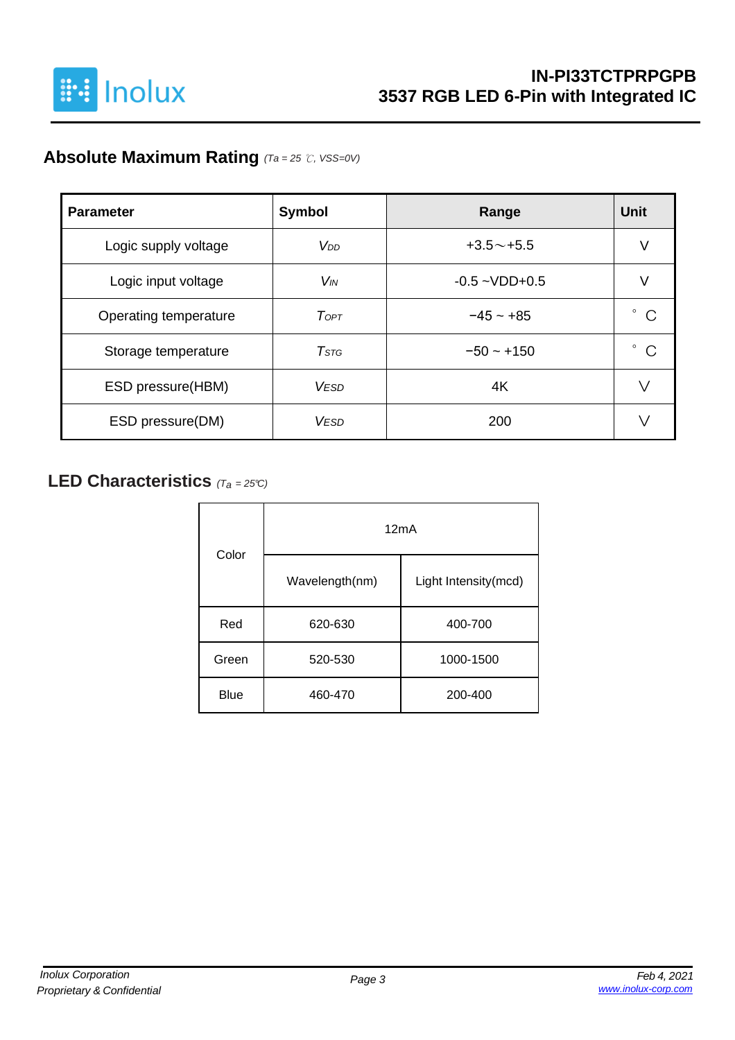

# **Absolute Maximum Rating** *(Ta = 25* ℃*, VSS=0V)*

| <b>Parameter</b>      | Symbol                | Range              | <b>Unit</b> |
|-----------------------|-----------------------|--------------------|-------------|
| Logic supply voltage  | V <sub>DD</sub>       | $+3.5 \sim +5.5$   | V           |
| Logic input voltage   | <b>V<sub>IN</sub></b> | $-0.5 - VDD + 0.5$ |             |
| Operating temperature | ToPT                  | $-45 - +85$        | o<br>C      |
| Storage temperature   | $T$ stg               | $-50 - +150$       | ٥<br>C      |
| ESD pressure(HBM)     | <b>VESD</b>           | 4K                 |             |
| ESD pressure(DM)      | <b>VESD</b>           | 200                |             |

### **LED Characteristics** *(Ta <sup>=</sup> 25°C)*

| Color       | 12mA           |                      |  |  |  |  |
|-------------|----------------|----------------------|--|--|--|--|
|             | Wavelength(nm) | Light Intensity(mcd) |  |  |  |  |
| Red         | 620-630        | 400-700              |  |  |  |  |
| Green       | 520-530        | 1000-1500            |  |  |  |  |
| <b>Blue</b> | 460-470        | 200-400              |  |  |  |  |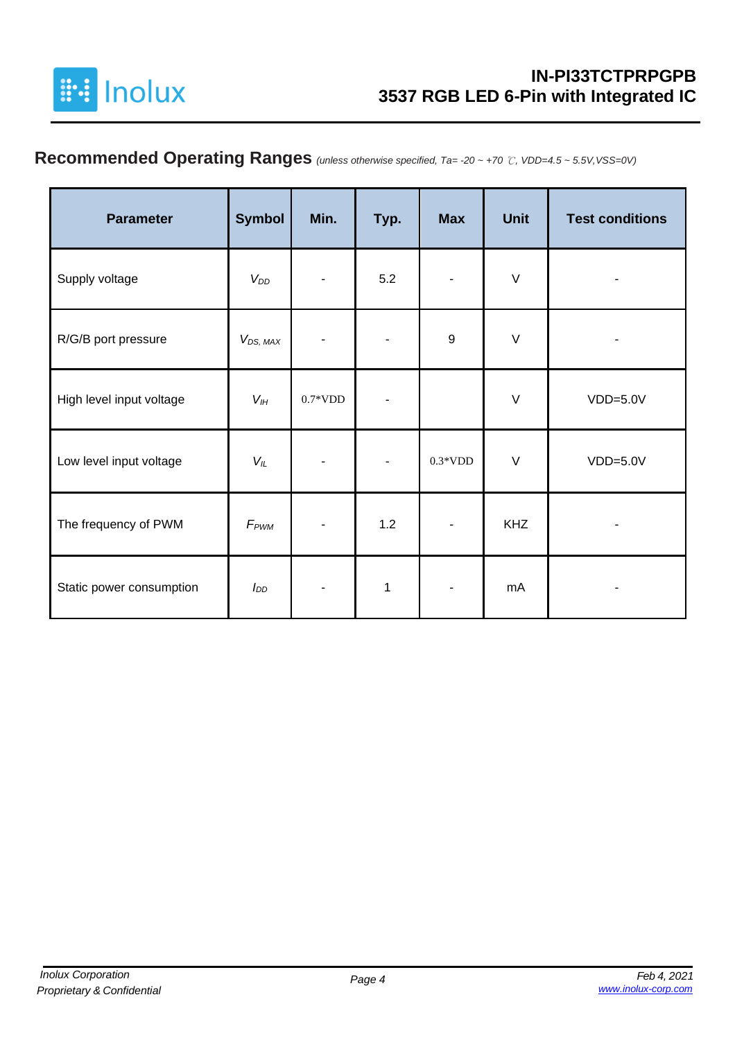

# **Recommended Operating Ranges** *(unless otherwise specified, Ta= -20 ~ +70* ℃*, VDD=4.5 ~ 5.5V,VSS=0V)*

| <b>Parameter</b>         | <b>Symbol</b>    | Min.           | Typ.           | <b>Max</b> | <b>Unit</b> | <b>Test conditions</b> |
|--------------------------|------------------|----------------|----------------|------------|-------------|------------------------|
| Supply voltage           | $V_{DD}$         |                | 5.2            |            | $\vee$      |                        |
| R/G/B port pressure      | $V_{DS, MAX}$    |                |                | 9          | $\vee$      | ۰                      |
| High level input voltage | $V_{I H}$        | $0.7*VDD$      |                |            | $\vee$      | $VDD=5.0V$             |
| Low level input voltage  | $V_L$            | $\overline{a}$ | $\blacksquare$ | $0.3*VDD$  | $\vee$      | $VDD=5.0V$             |
| The frequency of PWM     | F <sub>PWM</sub> |                | 1.2            |            | <b>KHZ</b>  |                        |
| Static power consumption | $I_{DD}$         |                | 1              | ٠          | mA          |                        |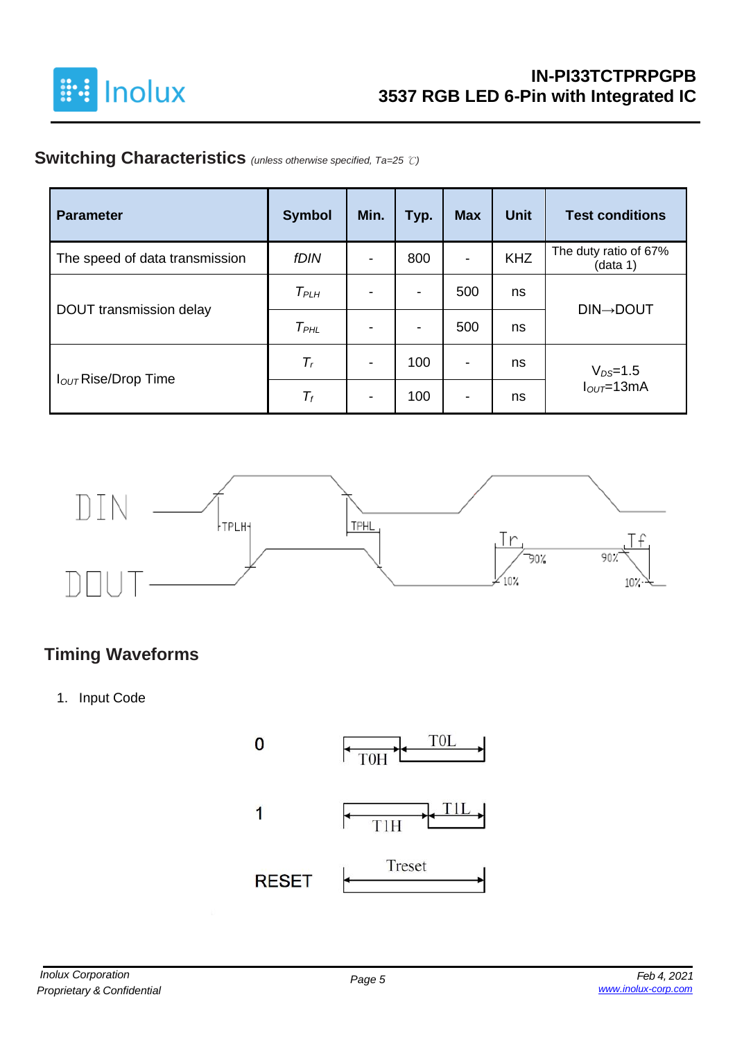

### **Switching Characteristics** *(unless otherwise specified, Ta=25* ℃*)*

| <b>Parameter</b>                | <b>Symbol</b>    | Min. | Typ.                     | <b>Max</b>               | <b>Unit</b> | <b>Test conditions</b>            |
|---------------------------------|------------------|------|--------------------------|--------------------------|-------------|-----------------------------------|
| The speed of data transmission  | <b>fDIN</b>      |      | 800                      | $\blacksquare$           | <b>KHZ</b>  | The duty ratio of 67%<br>(data 1) |
| DOUT transmission delay         | T <sub>PLH</sub> |      | $\overline{\phantom{a}}$ | 500                      | ns          | <b>DIN→DOUT</b>                   |
|                                 | $T_{PHL}$        |      | $\overline{\phantom{a}}$ | 500                      | ns          |                                   |
| I <sub>OUT</sub> Rise/Drop Time | $T_r$            |      | 100                      | $\overline{\phantom{a}}$ | ns          | $V_{DS}=1.5$                      |
|                                 | $T_f$            |      | 100                      | -                        | ns          | $IOUT=13mA$                       |



### **Timing Waveforms**

1. Input Code

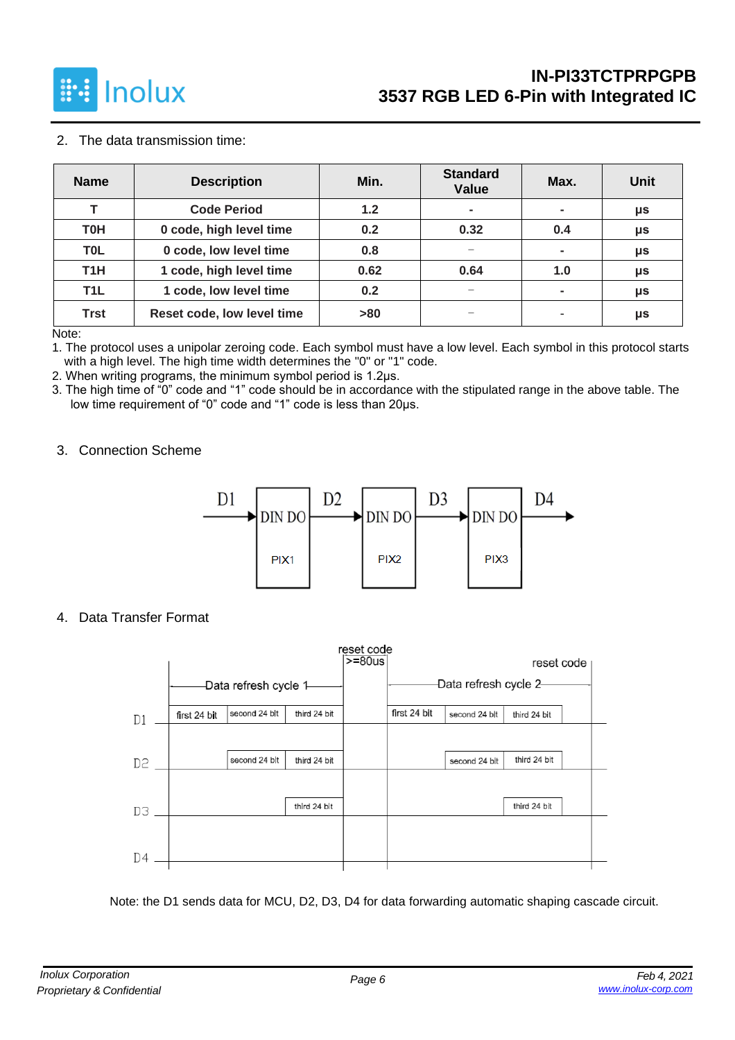

#### 2. The data transmission time:

| <b>Name</b>      | <b>Description</b>         | Min. | <b>Standard</b><br><b>Value</b> | Max. | <b>Unit</b> |
|------------------|----------------------------|------|---------------------------------|------|-------------|
| т                | <b>Code Period</b>         | 1.2  | $\blacksquare$                  | ۰    | μs          |
| <b>T0H</b>       | 0 code, high level time    | 0.2  | 0.32                            | 0.4  | μs          |
| <b>TOL</b>       | 0 code, low level time     | 0.8  |                                 |      | μs          |
| T <sub>1</sub> H | 1 code, high level time    | 0.62 | 0.64                            | 1.0  | μs          |
| T <sub>1</sub> L | 1 code, low level time     | 0.2  | $\overline{\phantom{0}}$        |      | μs          |
| <b>Trst</b>      | Reset code, low level time | >80  |                                 |      | μs          |

Note:

1. The protocol uses a unipolar zeroing code. Each symbol must have a low level. Each symbol in this protocol starts with a high level. The high time width determines the "0" or "1" code.

2. When writing programs, the minimum symbol period is 1.2μs.

3. The high time of "0" code and "1" code should be in accordance with the stipulated range in the above table. The low time requirement of "0" code and "1" code is less than 20μs.

#### 3. Connection Scheme



4. Data Transfer Format

|    |              |                        |              | reset code  |              |                        |              |  |
|----|--------------|------------------------|--------------|-------------|--------------|------------------------|--------------|--|
|    |              |                        |              | $> = 80$ us |              |                        | reset code   |  |
|    |              | -Data refresh cycle 1- |              |             |              | -Data refresh cycle 2- |              |  |
| D1 | first 24 bit | second 24 blt          | third 24 bit |             | first 24 bit | second 24 blt          | third 24 bit |  |
|    |              |                        |              |             |              |                        |              |  |
| D2 |              | second 24 blt          | third 24 bit |             |              | second 24 blt          | third 24 bit |  |
|    |              |                        |              |             |              |                        |              |  |
| DЗ |              |                        | third 24 bit |             |              |                        | third 24 bit |  |
|    |              |                        |              |             |              |                        |              |  |
| D4 |              |                        |              |             |              |                        |              |  |

Note: the D1 sends data for MCU, D2, D3, D4 for data forwarding automatic shaping cascade circuit.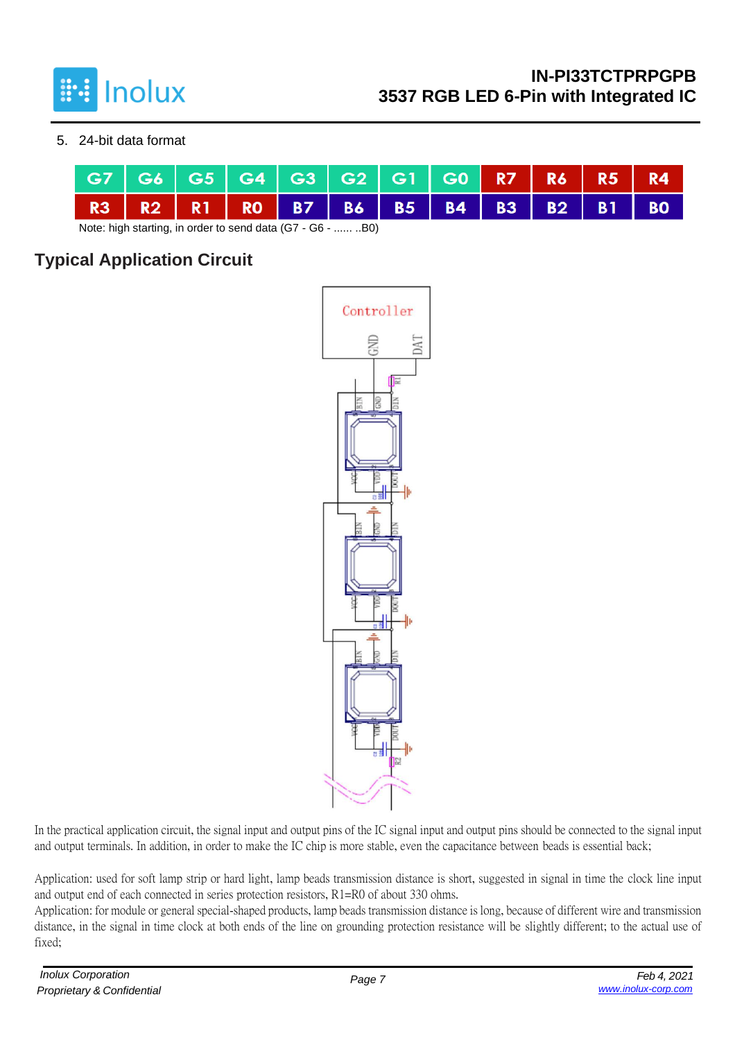

#### 5. 24-bit data format

| R3 R2 R1 R0 B7 B6 B5 B4 B3 B2 B1 B0 |  |  | G7   G6   G5   G4   G3   G2   G1   G0 <mark>  R7   R6   R5   R4</mark> |  |  |  |  |
|-------------------------------------|--|--|------------------------------------------------------------------------|--|--|--|--|
|                                     |  |  |                                                                        |  |  |  |  |

Note: high starting, in order to send data (G7 - G6 - ...... ..B0)

## **Typical Application Circuit**



In the practical application circuit, the signal input and output pins of the IC signal input and output pins should be connected to the signal input and output terminals. In addition, in order to make the IC chip is more stable, even the capacitance between beads is essential back;

Application: used for soft lamp strip or hard light, lamp beads transmission distance is short, suggested in signal in time the clock line input and output end of each connected in series protection resistors, R1=R0 of about 330 ohms.

Application: for module or general special-shaped products, lamp beads transmission distance is long, because of different wire and transmission distance, in the signal in time clock at both ends of the line on grounding protection resistance will be slightly different; to the actual use of fixed;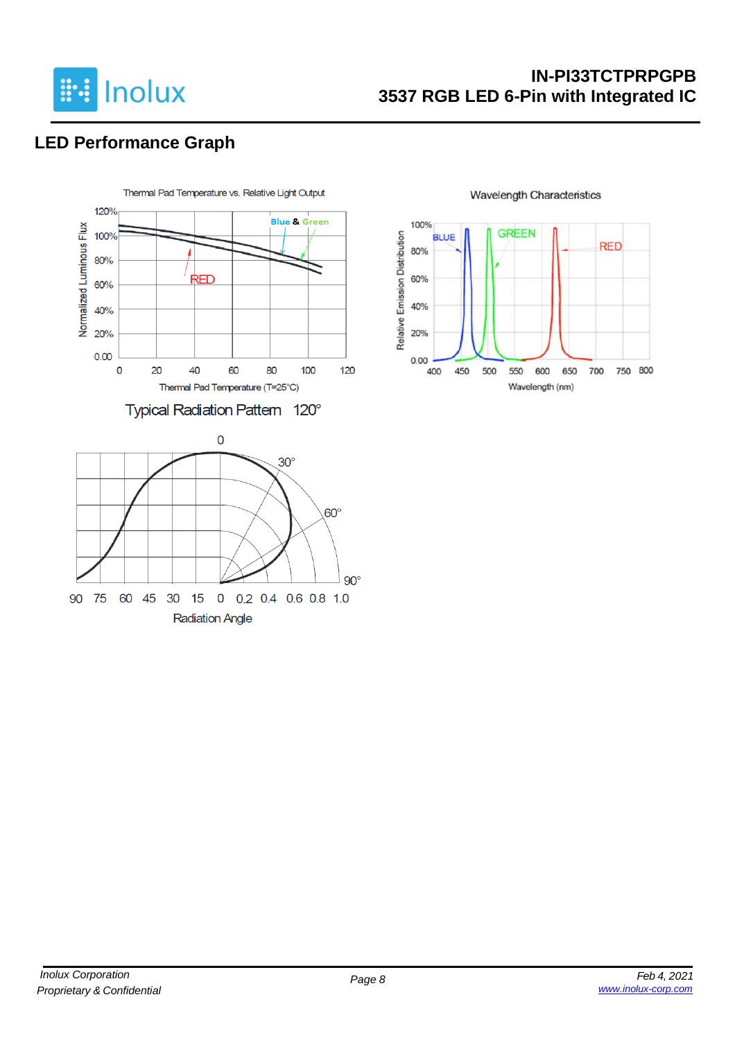

### **IN-PI33TCTPRPGPB 3537 RGB LED 6-Pin with Integrated IC**

# **LED Performance Graph**



**Wavelength Characteristics** 

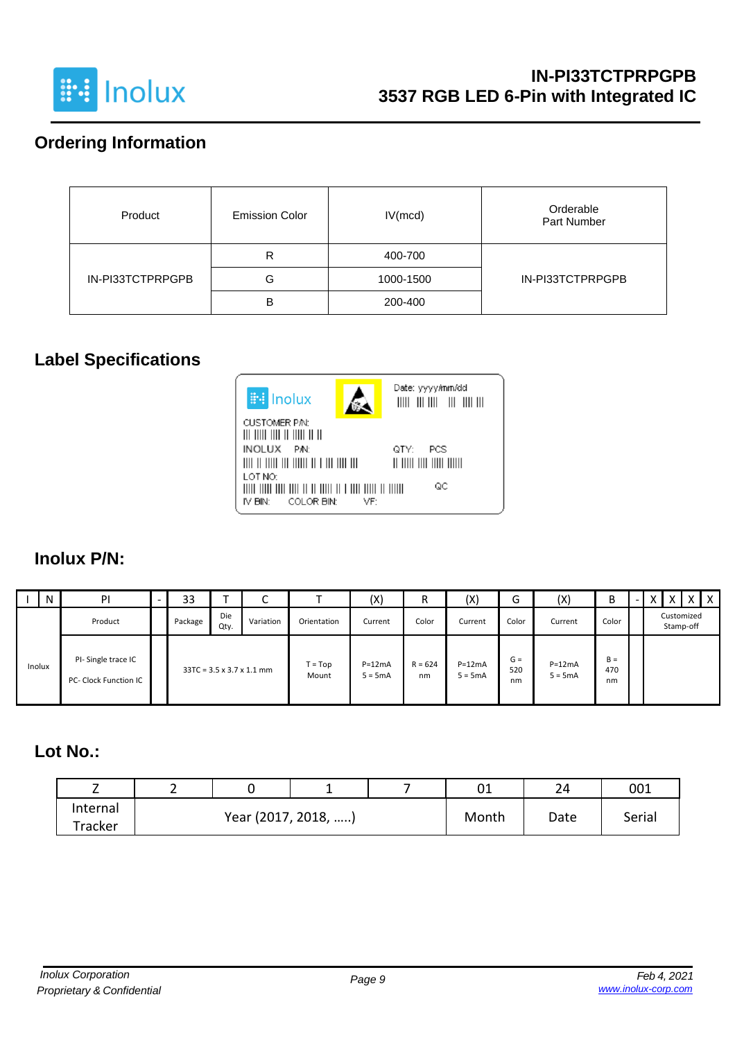

# **Ordering Information**

| Product          | <b>Emission Color</b> | IV(mcd)   | Orderable<br><b>Part Number</b> |
|------------------|-----------------------|-----------|---------------------------------|
|                  | R                     | 400-700   |                                 |
| IN-PI33TCTPRPGPB | G                     | 1000-1500 | IN-PI33TCTPRPGPB                |
|                  | B                     | 200-400   |                                 |

### **Label Specifications**



### **Inolux P/N:**

|        | N | PI                                          | - | 33      |             | $\sqrt{2}$<br>◡                       |                    | (X)                   | R               | (X)                   | ∽<br>G             | (X)                   | B                  | $\overline{\phantom{0}}$ | X | X                       | $\times$ 1 | $\times$ |
|--------|---|---------------------------------------------|---|---------|-------------|---------------------------------------|--------------------|-----------------------|-----------------|-----------------------|--------------------|-----------------------|--------------------|--------------------------|---|-------------------------|------------|----------|
|        |   | Product                                     |   | Package | Die<br>Qty. | Variation                             | Orientation        | Current               | Color           | Current               | Color              | Current               | Color              |                          |   | Customized<br>Stamp-off |            |          |
| Inolux |   | PI-Single trace IC<br>PC- Clock Function IC |   |         |             | $33TC = 3.5 \times 3.7 \times 1.1$ mm | $T = Top$<br>Mount | $P=12mA$<br>$5 = 5mA$ | $R = 624$<br>nm | $P=12mA$<br>$5 = 5mA$ | $G =$<br>520<br>nm | $P=12mA$<br>$5 = 5mA$ | $B =$<br>470<br>nm |                          |   |                         |            |          |

#### **Lot No.:**

| <u>.</u> |  |                     |       | ົ^1<br>∪⊥ | 24     | 001 |
|----------|--|---------------------|-------|-----------|--------|-----|
| Internal |  | Year (2017, 2018, ) | Month | Date      | Serial |     |
| Tracker  |  |                     |       |           |        |     |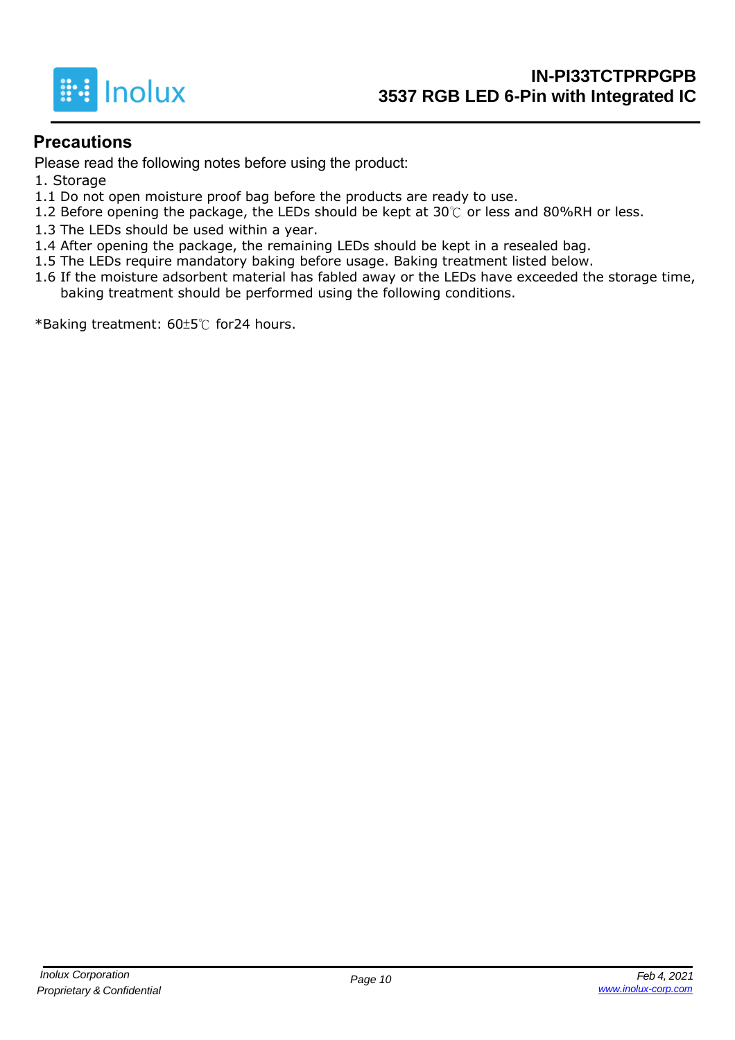

#### **Precautions**

Please read the following notes before using the product:

- 1. Storage
- 1.1 Do not open moisture proof bag before the products are ready to use.
- 1.2 Before opening the package, the LEDs should be kept at 30℃ or less and 80%RH or less.
- 1.3 The LEDs should be used within a year.
- 1.4 After opening the package, the remaining LEDs should be kept in a resealed bag.
- 1.5 The LEDs require mandatory baking before usage. Baking treatment listed below.
- 1.6 If the moisture adsorbent material has fabled away or the LEDs have exceeded the storage time, baking treatment should be performed using the following conditions.

\*Baking treatment: 60±5℃ for24 hours.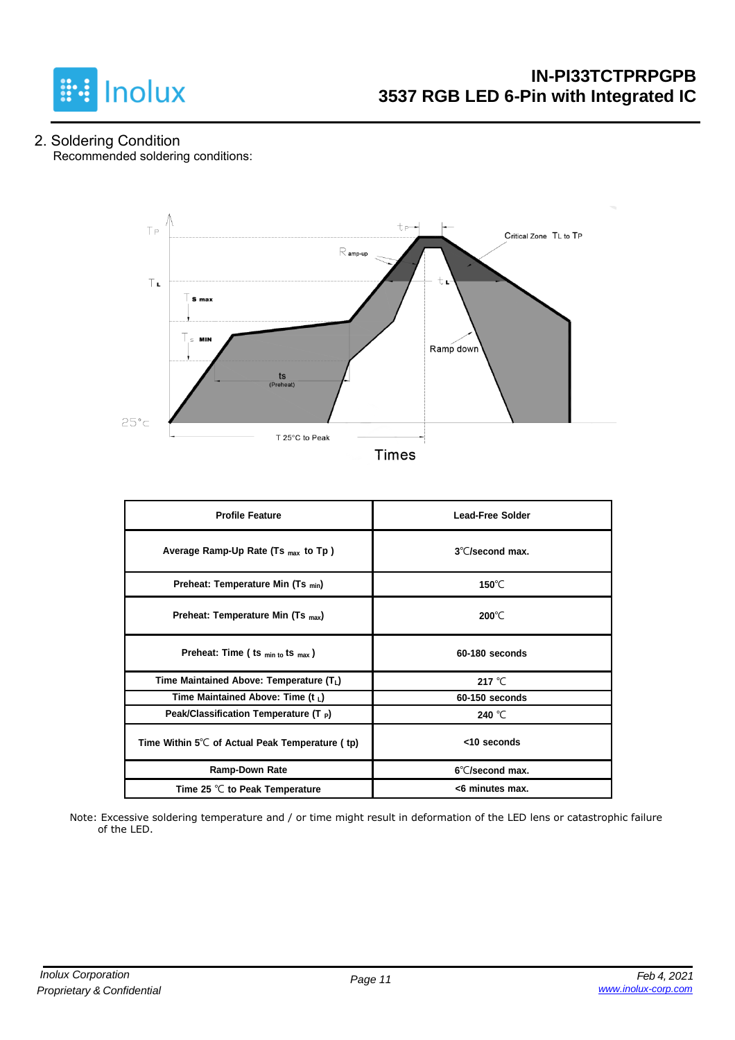

2. Soldering Condition Recommended soldering conditions:



**Times** 

| <b>Profile Feature</b>                                    | <b>Lead-Free Solder</b>   |  |  |  |  |
|-----------------------------------------------------------|---------------------------|--|--|--|--|
| Average Ramp-Up Rate (Ts <sub>max</sub> to Tp)            | $3^{\circ}$ C/second max. |  |  |  |  |
| Preheat: Temperature Min (Ts <sub>min</sub> )             | 150 $\degree$ C           |  |  |  |  |
| Preheat: Temperature Min (Ts <sub>max</sub> )             | $200^{\circ}$ C           |  |  |  |  |
| Preheat: Time ( ts $_{min\ to}$ ts $_{max}$ )             | 60-180 seconds            |  |  |  |  |
| Time Maintained Above: Temperature $(T_L)$                | 217 $°C$                  |  |  |  |  |
| Time Maintained Above: Time (t $_L$ )                     | 60-150 seconds            |  |  |  |  |
| Peak/Classification Temperature (T $_{\rm P}$ )           | 240 °C                    |  |  |  |  |
| Time Within $5^{\circ}$ C of Actual Peak Temperature (tp) | <10 seconds               |  |  |  |  |
| <b>Ramp-Down Rate</b>                                     | 6°C/second max.           |  |  |  |  |
| Time 25 $°C$ to Peak Temperature                          | <6 minutes max.           |  |  |  |  |

Note: Excessive soldering temperature and / or time might result in deformation of the LED lens or catastrophic failure of the LED.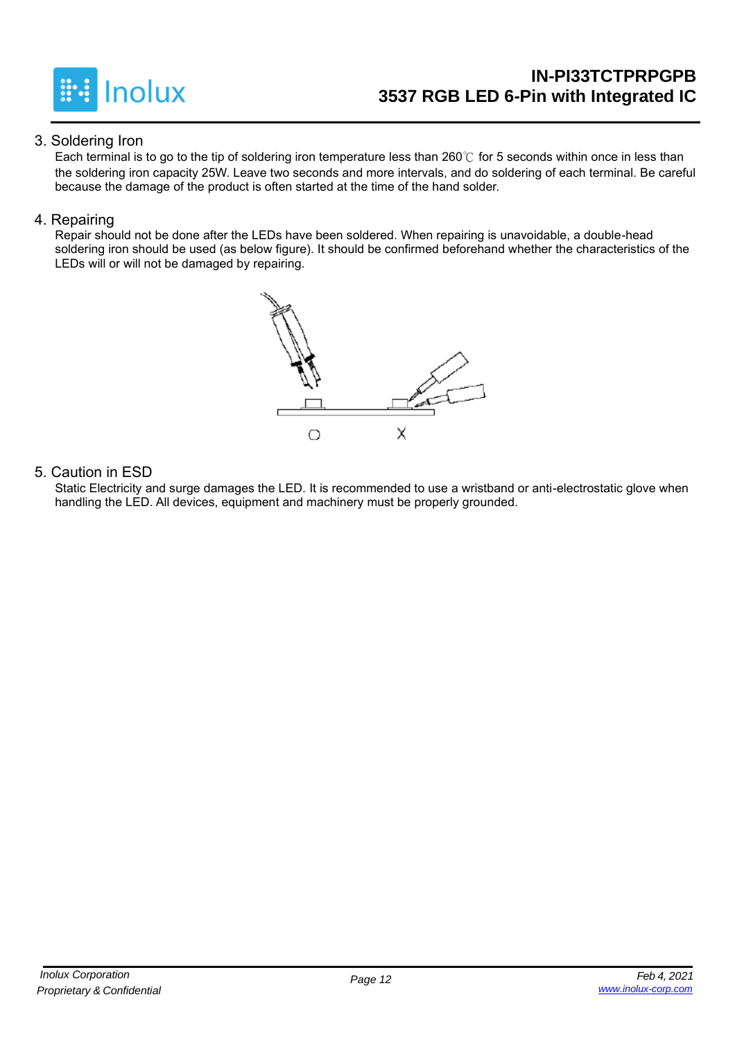

### **IN-PI33TCTPRPGPB 3537 RGB LED 6-Pin with Integrated IC**

#### 3. Soldering Iron

Each terminal is to go to the tip of soldering iron temperature less than 260℃ for 5 seconds within once in less than the soldering iron capacity 25W. Leave two seconds and more intervals, and do soldering of each terminal. Be careful because the damage of the product is often started at the time of the hand solder.

#### 4. Repairing

Repair should not be done after the LEDs have been soldered. When repairing is unavoidable, a double-head soldering iron should be used (as below figure). It should be confirmed beforehand whether the characteristics of the LEDs will or will not be damaged by repairing.



#### 5. Caution in ESD

Static Electricity and surge damages the LED. It is recommended to use a wristband or anti-electrostatic glove when handling the LED. All devices, equipment and machinery must be properly grounded.